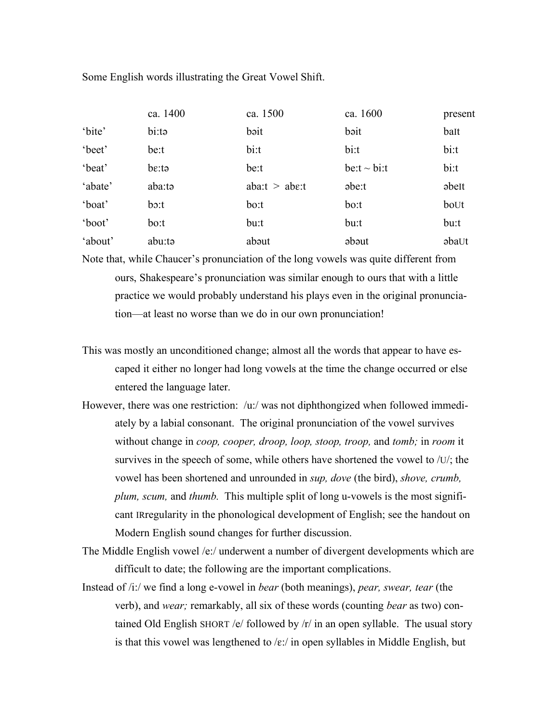Some English words illustrating the Great Vowel Shift.

|         | ca. 1400    | ca. 1500             | ca. 1600           | present      |
|---------|-------------|----------------------|--------------------|--------------|
| 'bite'  | bi:tə       | bəit                 | bəit               | baIt         |
| 'beet'  | be:t        | bi:t                 | bi:t               | bi:t         |
| 'beat'  | be:ta       | be:t                 | $be: t \sim bi: t$ | bi:t         |
| 'abate' | aba:tə      | aba: $t > ab$ e: $t$ | $\theta$           | <i>abelt</i> |
| 'boat'  | $\rm{b}$ :t | bo:t                 | bo:t               | boUt         |
| 'boot'  | bo:t        | bu:t                 | bu:t               | bu:t         |
| 'about' | abu:tə      | about                | abaut              | abaUt        |

Note that, while Chaucer's pronunciation of the long vowels was quite different from ours, Shakespeare's pronunciation was similar enough to ours that with a little practice we would probably understand his plays even in the original pronunciation—at least no worse than we do in our own pronunciation!

- This was mostly an unconditioned change; almost all the words that appear to have escaped it either no longer had long vowels at the time the change occurred or else entered the language later.
- However, there was one restriction: /u:/ was not diphthongized when followed immediately by a labial consonant. The original pronunciation of the vowel survives without change in *coop, cooper, droop, loop, stoop, troop,* and *tomb;* in *room* it survives in the speech of some, while others have shortened the vowel to /U/; the vowel has been shortened and unrounded in *sup, dove* (the bird), *shove, crumb, plum, scum,* and *thumb.* This multiple split of long u-vowels is the most significant IRregularity in the phonological development of English; see the handout on Modern English sound changes for further discussion.
- The Middle English vowel /e:/ underwent a number of divergent developments which are difficult to date; the following are the important complications.
- Instead of /i:/ we find a long e-vowel in *bear* (both meanings), *pear, swear, tear* (the verb), and *wear;* remarkably, all six of these words (counting *bear* as two) contained Old English SHORT /e/ followed by  $/r/$  in an open syllable. The usual story is that this vowel was lengthened to  $\ell \in \mathcal{E}'$  in open syllables in Middle English, but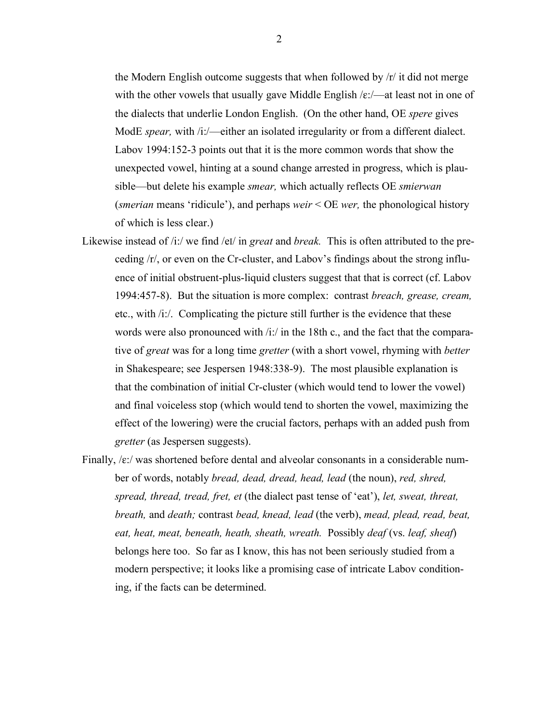the Modern English outcome suggests that when followed by /r/ it did not merge with the other vowels that usually gave Middle English  $/\varepsilon$ :/—at least not in one of the dialects that underlie London English. (On the other hand, OE *spere* gives ModE *spear,* with /i:/—either an isolated irregularity or from a different dialect. Labov 1994:152-3 points out that it is the more common words that show the unexpected vowel, hinting at a sound change arrested in progress, which is plausible—but delete his example *smear,* which actually reflects OE *smierwan* (*smerian* means 'ridicule'), and perhaps *weir* < OE *wer,* the phonological history of which is less clear.)

- Likewise instead of /i:/ we find /eI/ in *great* and *break.* This is often attributed to the preceding /r/, or even on the Cr-cluster, and Labov's findings about the strong influence of initial obstruent-plus-liquid clusters suggest that that is correct (cf. Labov 1994:457-8). But the situation is more complex: contrast *breach, grease, cream,* etc., with /i:/. Complicating the picture still further is the evidence that these words were also pronounced with /i:/ in the 18th c., and the fact that the comparative of *great* was for a long time *gretter* (with a short vowel, rhyming with *better* in Shakespeare; see Jespersen 1948:338-9). The most plausible explanation is that the combination of initial Cr-cluster (which would tend to lower the vowel) and final voiceless stop (which would tend to shorten the vowel, maximizing the effect of the lowering) were the crucial factors, perhaps with an added push from *gretter* (as Jespersen suggests).
- Finally,  $\sqrt{\epsilon}$ :/ was shortened before dental and alveolar consonants in a considerable number of words, notably *bread, dead, dread, head, lead* (the noun), *red, shred, spread, thread, tread, fret, et* (the dialect past tense of 'eat'), *let, sweat, threat, breath,* and *death;* contrast *bead, knead, lead* (the verb), *mead, plead, read, beat, eat, heat, meat, beneath, heath, sheath, wreath.* Possibly *deaf* (vs. *leaf, sheaf*) belongs here too. So far as I know, this has not been seriously studied from a modern perspective; it looks like a promising case of intricate Labov conditioning, if the facts can be determined.

2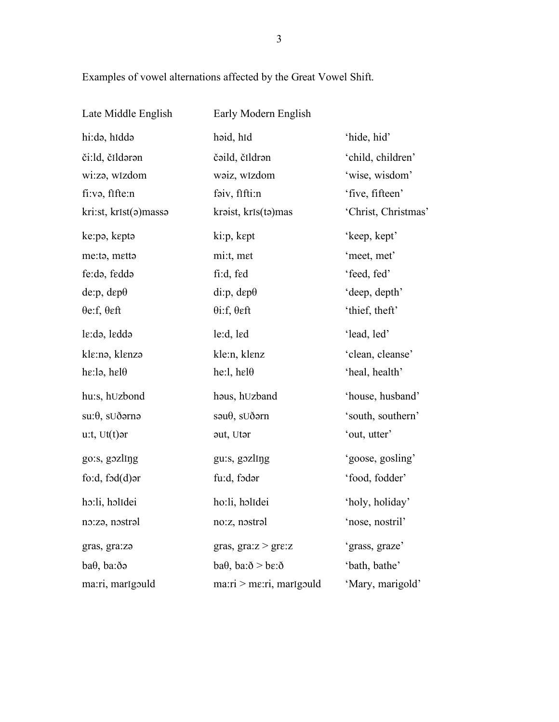Examples of vowel alternations affected by the Great Vowel Shift.

| Late Middle English           | Early Modern English                   |                     |
|-------------------------------|----------------------------------------|---------------------|
| hi:də, hiddə                  | haid, hid                              | 'hide, hid'         |
| či:ld, čIldərən               | čəild, čildrən                         | 'child, children'   |
| wi:zə, wIzdom                 | waiz, wIzdom                           | 'wise, wisdom'      |
| fi:və, fifte:n                | faiv, fifti:n                          | 'five, fifteen'     |
| kri:st, krIst(a)massa         | kraist, krIs(ta)mas                    | 'Christ, Christmas' |
| ke:pə, keptə                  | ki:p, kept                             | 'keep, kept'        |
| me:ta, metta                  | mi:t, met                              | 'meet, met'         |
| fe:də, feddə                  | fi:d, fed                              | 'feed, fed'         |
| de:p, d $\varepsilon p\theta$ | $di:p, dep\theta$                      | 'deep, depth'       |
| $\theta$ e:f, $\theta$ eft    | $\theta$ i:f, $\theta$ eft             | 'thief, theft'      |
| $le: d9$ , ledd $\circ$       | le:d, led                              | 'lead, led'         |
| kle:nə, klenzə                | kle:n, klenz                           | 'clean, cleanse'    |
| he:lə, hel $\theta$           | he:l, hel $\theta$                     | 'heal, health'      |
| hu:s, hUzbond                 | hous, hUzband                          | 'house, husband'    |
| $su:\theta$ , $SU\eth$ arna   | $s \partial \theta$ , s $U \delta$ arn | 'south, southern'   |
| $u$ :t, Ut $(t)$ ər           | aut, Utar                              | 'out, utter'        |
| go:s, gozling                 | gu:s, gozling                          | 'goose, gosling'    |
| fo:d, $f \circ d(d)$ ər       | fu:d, fodar                            | 'food, fodder'      |
| ho:li, holIdei                | ho:li, holIdei                         | 'holy, holiday'     |
| no:zə, nostrəl                | no:z, nostral                          | 'nose, nostril'     |
| gras, gra:za                  | gras, $gra:z > gre:z$                  | 'grass, graze'      |
| baθ, ba:δa                    | $ba\theta$ , $ba:\delta > be:\delta$   | 'bath, bathe'       |
| ma:ri, marIgould              | $max: i > me: ri$ , marigould          | 'Mary, marigold'    |